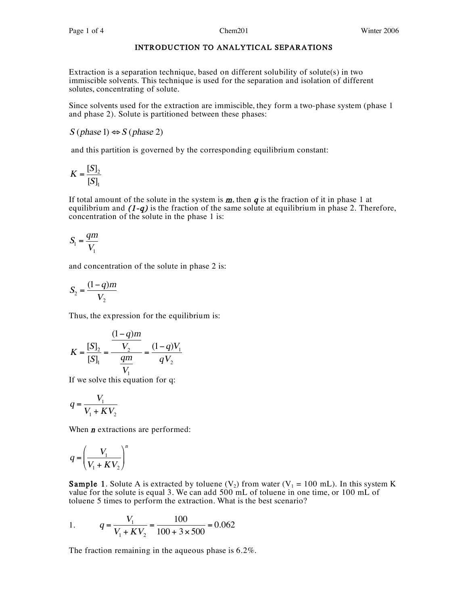# INTRODUCTION TO ANALYTICAL SEPARATIONS

Extraction is a separation technique, based on different solubility of solute(s) in two immiscible solvents. This technique is used for the separation and isolation of different solutes, concentrating of solute.

Since solvents used for the extraction are immiscible, they form a two-phase system (phase 1 and phase 2). Solute is partitioned between these phases:

 $S$  (phase 1)  $\Leftrightarrow$   $S$  (phase 2)

and this partition is governed by the corresponding equilibrium constant:

$$
K = \frac{[S]_2}{[S]_1}
$$

If total amount of the solute in the system is  $m$ , then  $q$  is the fraction of it in phase 1 at equilibrium and  $(1-q)$  is the fraction of the same solute at equilibrium in phase 2. Therefore, concentration of the solute in the phase 1 is:

$$
S_1 = \frac{qm}{V_1}
$$

and concentration of the solute in phase 2 is:

$$
S_2 = \frac{(1-q)m}{V_2}
$$

Thus, the expression for the equilibrium is:

$$
K = \frac{[S]_2}{[S]_1} = \frac{\frac{(1-q)m}{V_2}}{\frac{qm}{V_1}} = \frac{(1-q)V_1}{qV_2}
$$

If we solve this equation for q:

$$
q = \frac{V_1}{V_1 + KV_2}
$$

When  $\boldsymbol{n}$  extractions are performed:

$$
q = \left(\frac{V_1}{V_1 + KV_2}\right)^n
$$

**Sample 1.** Solute A is extracted by toluene (V<sub>2</sub>) from water (V<sub>1</sub> = 100 mL). In this system K value for the solute is equal 3. We can add 500 mL of toluene in one time, or 100 mL of toluene 5 times to perform the extraction. What is the best scenario?

1. 
$$
q = \frac{V_1}{V_1 + KV_2} = \frac{100}{100 + 3 \times 500} = 0.062
$$

The fraction remaining in the aqueous phase is 6.2%.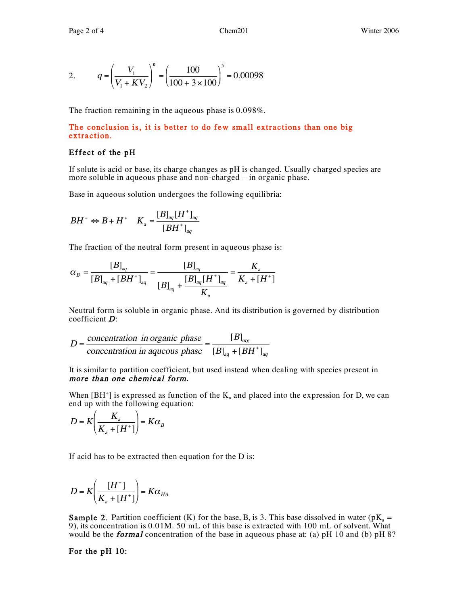2. 
$$
q = \left(\frac{V_1}{V_1 + KV_2}\right)^n = \left(\frac{100}{100 + 3 \times 100}\right)^5 = 0.00098
$$

The fraction remaining in the aqueous phase is 0.098%.

# The conclusion is, it is better to do few small extractions than one big extraction.

# Effect of the  $pH$

If solute is acid or base, its charge changes as pH is changed. Usually charged species are more soluble in aqueous phase and non-charged – in organic phase.

Base in aqueous solution undergoes the following equilibria:

$$
BH^+ \Leftrightarrow B + H^+ \quad K_a = \frac{[B]_{aq}[H^+]_{aq}}{[BH^+]_{aq}}
$$

The fraction of the neutral form present in aqueous phase is:

$$
\alpha_B = \frac{[B]_{aq}}{[B]_{aq} + [BH^+]_{aq}} = \frac{[B]_{aq}}{[B]_{aq} + \frac{[B]_{aq}[H^+]_{aq}}{K_a}} = \frac{K_a}{K_a + [H^+]}
$$

Neutral form is soluble in organic phase. And its distribution is governed by distribution coefficient <sup>D</sup>:

$$
D = \frac{\text{concentration in organic phase}}{\text{concentration in aqueous phase}} = \frac{[B]_{\text{org}}}{[B]_{\text{aq}} + [BH^+]_{\text{aq}}}
$$

It is similar to partition coefficient, but used instead when dealing with species present in more than one chemical form.

When  $[BH^+]$  is expressed as function of the  $K_a$  and placed into the expression for D, we can end up with the following equation:

$$
D = K \left( \frac{K_a}{K_a + [H^+]} \right) = K \alpha_B
$$

If acid has to be extracted then equation for the D is:

$$
D = K \left( \frac{[H^+]}{K_{\scriptscriptstyle a} + [H^+]}\right) = K \alpha_{\scriptscriptstyle H A}
$$

**Sample 2.** Partition coefficient (K) for the base, B, is 3. This base dissolved in water ( $pK_a =$ 9), its concentration is 0.01M. 50 mL of this base is extracted with 100 mL of solvent. What would be the **formal** concentration of the base in aqueous phase at: (a) pH 10 and (b) pH 8?

# For the pH 10: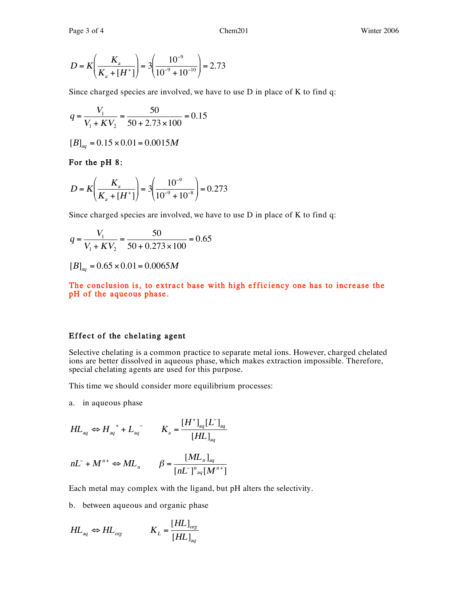$$
D = K \left( \frac{K_a}{K_a + [H^+]} \right) = 3 \left( \frac{10^{-9}}{10^{-9} + 10^{-10}} \right) = 2.73
$$

Since charged species are involved, we have to use D in place of K to find q:

$$
q = \frac{V_1}{V_1 + KV_2} = \frac{50}{50 + 2.73 \times 100} = 0.15
$$

$$
[B]_{aq} = 0.15 \times 0.01 = 0.0015M
$$

For the pH 8:

$$
D = K \left( \frac{K_a}{K_a + [H^+]} \right) = 3 \left( \frac{10^{-9}}{10^{-9} + 10^{-8}} \right) = 0.273
$$

Since charged species are involved, we have to use D in place of K to find q:

$$
q = \frac{V_1}{V_1 + KV_2} = \frac{50}{50 + 0.273 \times 100} = 0.65
$$

 $[B]_{aq} = 0.65 \times 0.01 = 0.0065M$ 

The conclusion is, to extract base with high efficiency one has to increase the pH of the aqueous phase.

#### Effect of the chelating agent

Selective chelating is a common practice to separate metal ions. However, charged chelated ions are better dissolved in aqueous phase, which makes extraction impossible. Therefore, special chelating agents are used for this purpose.

This time we should consider more equilibrium processes:

a. in aqueous phase

$$
HL_{aq} \Leftrightarrow H_{aq}^+ + L_{aq}^- \qquad K_a = \frac{[H^+]_{aq}[L^-]_{aq}}{[HL]_{aq}}
$$

$$
nL^{-} + M^{n+} \Leftrightarrow ML_{n} \qquad \beta = \frac{[ML_{n}]_{aq}}{[nL^{-}]^{n}{}_{aq}[M^{n+}]}
$$

Each metal may complex with the ligand, but pH alters the selectivity.

b. between aqueous and organic phase

$$
HL_{aq} \Leftrightarrow HL_{org} \qquad K_L = \frac{[HL]_{org}}{[HL]_{aq}}
$$